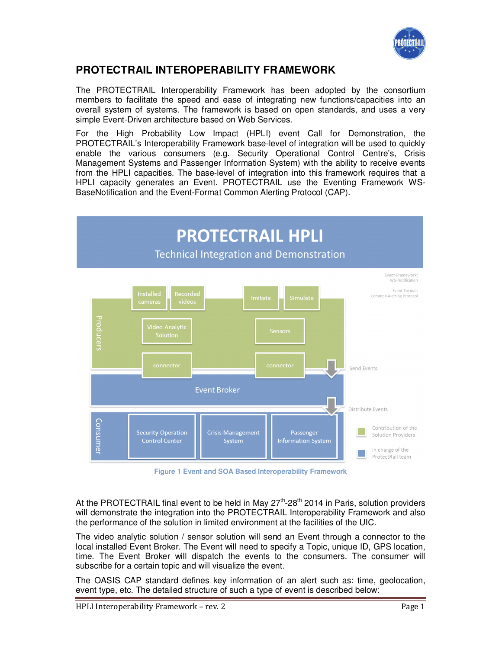

# **PROTECTRAIL INTEROPERABILITY FRAMEWORK**

The PROTECTRAIL Interoperability Framework has been adopted by the consortium members to facilitate the speed and ease of integrating new functions/capacities into an overall system of systems. The framework is based on open standards, and uses a very simple Event-Driven architecture based on Web Services.

For the High Probability Low Impact (HPLI) event Call for Demonstration, the PROTECTRAIL's Interoperability Framework base-level of integration will be used to quickly enable the various consumers (e.g. Security Operational Control Centre's, Crisis Management Systems and Passenger Information System) with the ability to receive events from the HPLI capacities. The base-level of integration into this framework requires that a HPLI capacity generates an Event. PROTECTRAIL use the Eventing Framework WS-BaseNotification and the Event-Format Common Alerting Protocol (CAP).



**Figure 1 Event and SOA Based Interoperability Framework** 

At the PROTECTRAIL final event to be held in May  $27<sup>th</sup>$ -28<sup>th</sup> 2014 in Paris, solution providers will demonstrate the integration into the PROTECTRAIL Interoperability Framework and also the performance of the solution in limited environment at the facilities of the UIC.

The video analytic solution / sensor solution will send an Event through a connector to the local installed Event Broker. The Event will need to specify a Topic, unique ID, GPS location, time. The Event Broker will dispatch the events to the consumers. The consumer will subscribe for a certain topic and will visualize the event.

The OASIS CAP standard defines key information of an alert such as: time, geolocation, event type, etc. The detailed structure of such a type of event is described below: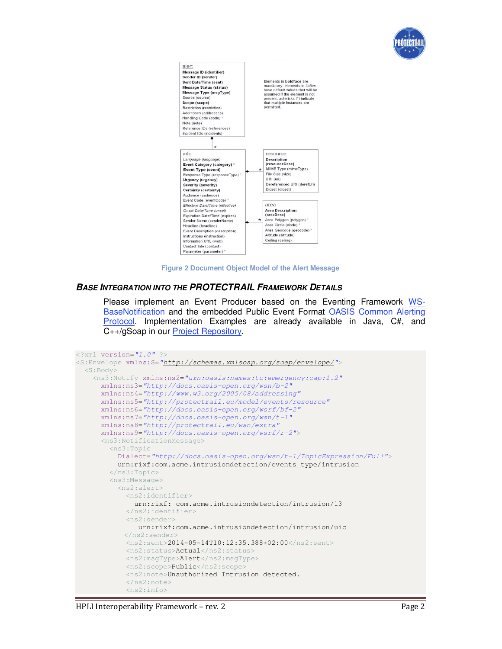



**Figure 2 Document Object Model of the Alert Message**

#### **BASE INTEGRATION INTO THE PROTECTRAIL FRAMEWORK DETAILS**

Please implement an Event Producer based on the Eventing Framework WS-BaseNotification and the embedded Public Event Format OASIS Common Alerting Protocol. Implementation Examples are already available in Java, C#, and C++/gSoap in our Project Repository.

```
<?xml version="1.0" ?>
<S:Envelope xmlns:S="http://schemas.xmlsoap.org/soap/envelope/">
   <S:Body>
     <ns3:Notify xmlns:ns2="urn:oasis:names:tc:emergency:cap:1.2"
       xmlns:ns3="http://docs.oasis-open.org/wsn/b-2" 
       xmlns:ns4="http://www.w3.org/2005/08/addressing"
       xmlns:ns5="http://protectrail.eu/model/events/resource" 
       xmlns:ns6="http://docs.oasis-open.org/wsrf/bf-2"
       xmlns:ns7="http://docs.oasis-open.org/wsn/t-1" 
       xmlns:ns8="http://protectrail.eu/wsn/extra"
       xmlns:ns9="http://docs.oasis-open.org/wsrf/r-2">
       <ns3:NotificationMessage>
         <ns3:Topic
           Dialect="http://docs.oasis-open.org/wsn/t-1/TopicExpression/Full">
           urn:rixf:com.acme.intrusiondetection/events_type/intrusion 
         </ns3:Topic>
         <ns3:Message>
           <ns2:alert>
             <ns2:identifier>
               urn:rixf: com.acme.intrusiondetection/intrusion/13 
             </ns2:identifier>
             <ns2:sender> 
                urn:rixf:com.acme.intrusiondetection/intrusion/uic 
             </ns2:sender>
             <ns2:sent>2014-05-14T10:12:35.388+02:00</ns2:sent>
             <ns2:status>Actual</ns2:status>
             <ns2:msgType>Alert</ns2:msgType>
             <ns2:scope>Public</ns2:scope>
             <ns2:note>Unauthorized Intrusion detected. 
             </ns2:note>
             <ns2:info>
```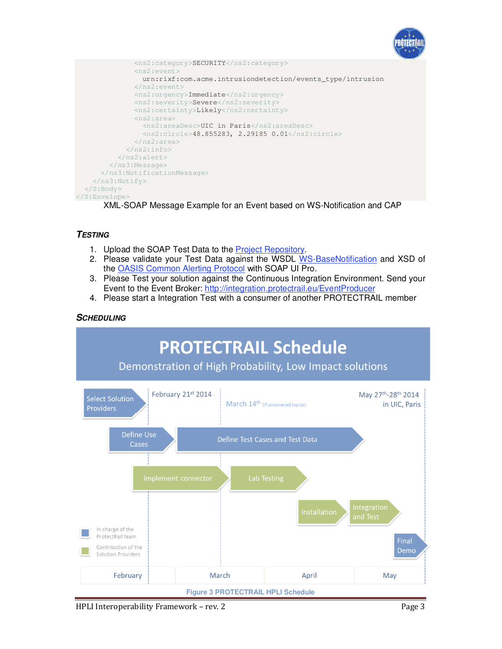



XML-SOAP Message Example for an Event based on WS-Notification and CAP

### **TESTING**

- 1. Upload the SOAP Test Data to the Project Repository.
- 2. Please validate your Test Data against the WSDL WS-BaseNotification and XSD of the OASIS Common Alerting Protocol with SOAP UI Pro.
- 3. Please Test your solution against the Continuous Integration Environment. Send your Event to the Event Broker: http://integration.protectrail.eu/EventProducer
- 4. Please start a Integration Test with a consumer of another PROTECTRAIL member

### **SCHEDULING**